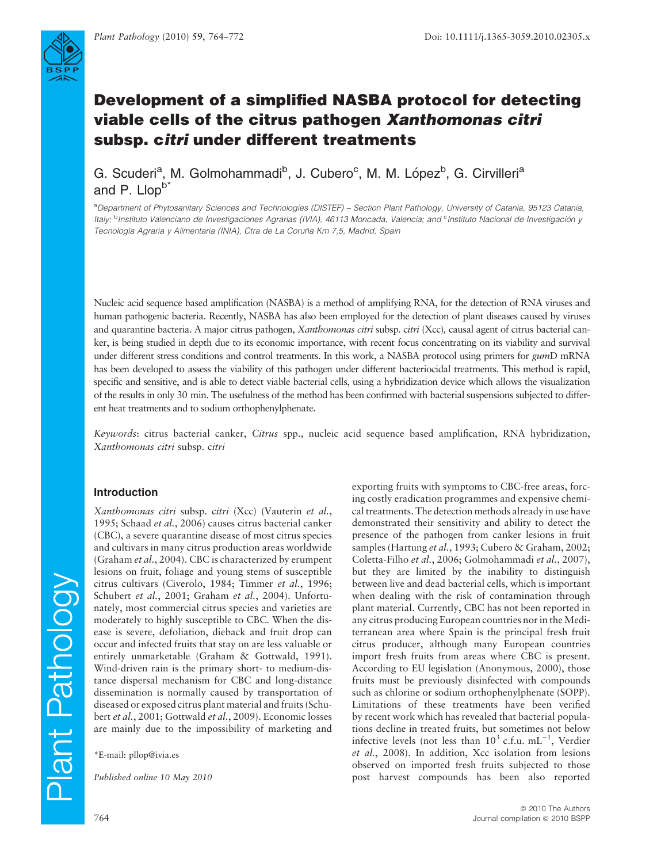

# Development of a simplified NASBA protocol for detecting viable cells of the citrus pathogen Xanthomonas citri subsp. citri under different treatments

G. Scuderi<sup>a</sup>, M. Golmohammadi<sup>b</sup>, J. Cubero<sup>c</sup>, M. M. López<sup>b</sup>, G. Cirvilleri<sup>a</sup> and P. Llop<sup>b\*</sup>

aDepartment of Phytosanitary Sciences and Technologies (DISTEF) – Section Plant Pathology, University of Catania, 95123 Catania, Italy; <sup>b</sup>Instituto Valenciano de Investigaciones Agrarias (IVIA), 46113 Moncada, Valencia; and <sup>c</sup>Instituto Nacional de Investigación y Tecnología Agraria y Alimentaria (INIA), Ctra de La Coruña Km 7,5, Madrid, Spain

Nucleic acid sequence based amplification (NASBA) is a method of amplifying RNA, for the detection of RNA viruses and human pathogenic bacteria. Recently, NASBA has also been employed for the detection of plant diseases caused by viruses and quarantine bacteria. A major citrus pathogen, *Xanthomonas citri* subsp. citri (Xcc), causal agent of citrus bacterial canker, is being studied in depth due to its economic importance, with recent focus concentrating on its viability and survival under different stress conditions and control treatments. In this work, a NASBA protocol using primers for *gum*D mRNA has been developed to assess the viability of this pathogen under different bacteriocidal treatments. This method is rapid, specific and sensitive, and is able to detect viable bacterial cells, using a hybridization device which allows the visualization of the results in only 30 min. The usefulness of the method has been confirmed with bacterial suspensions subjected to different heat treatments and to sodium orthophenylphenate.

Keywords: citrus bacterial canker, Citrus spp., nucleic acid sequence based amplification, RNA hybridization, Xanthomonas citri subsp. citri

# Introduction

Xanthomonas citri subsp. citri (Xcc) (Vauterin et al., 1995; Schaad et al., 2006) causes citrus bacterial canker (CBC), a severe quarantine disease of most citrus species and cultivars in many citrus production areas worldwide (Graham et al., 2004). CBC is characterized by erumpent lesions on fruit, foliage and young stems of susceptible citrus cultivars (Civerolo, 1984; Timmer et al., 1996; Schubert et al., 2001; Graham et al., 2004). Unfortunately, most commercial citrus species and varieties are moderately to highly susceptible to CBC. When the disease is severe, defoliation, dieback and fruit drop can occur and infected fruits that stay on are less valuable or entirely unmarketable (Graham & Gottwald, 1991). Wind-driven rain is the primary short- to medium-distance dispersal mechanism for CBC and long-distance dissemination is normally caused by transportation of diseased or exposed citrus plant material and fruits (Schubert et al., 2001; Gottwald et al., 2009). Economic losses are mainly due to the impossibility of marketing and

\*E-mail: pllop@ivia.es

Published online 10 May 2010

exporting fruits with symptoms to CBC-free areas, forcing costly eradication programmes and expensive chemical treatments. The detection methods already in use have demonstrated their sensitivity and ability to detect the presence of the pathogen from canker lesions in fruit samples (Hartung et al., 1993; Cubero & Graham, 2002; Coletta-Filho et al., 2006; Golmohammadi et al., 2007), but they are limited by the inability to distinguish between live and dead bacterial cells, which is important when dealing with the risk of contamination through plant material. Currently, CBC has not been reported in any citrus producing European countries nor in the Mediterranean area where Spain is the principal fresh fruit citrus producer, although many European countries import fresh fruits from areas where CBC is present. According to EU legislation (Anonymous, 2000), those fruits must be previously disinfected with compounds such as chlorine or sodium orthophenylphenate (SOPP). Limitations of these treatments have been verified by recent work which has revealed that bacterial populations decline in treated fruits, but sometimes not below infective levels (not less than  $10^3$  c.f.u. mL<sup>-1</sup>, Verdier et al., 2008). In addition, Xcc isolation from lesions observed on imported fresh fruits subjected to those post harvest compounds has been also reported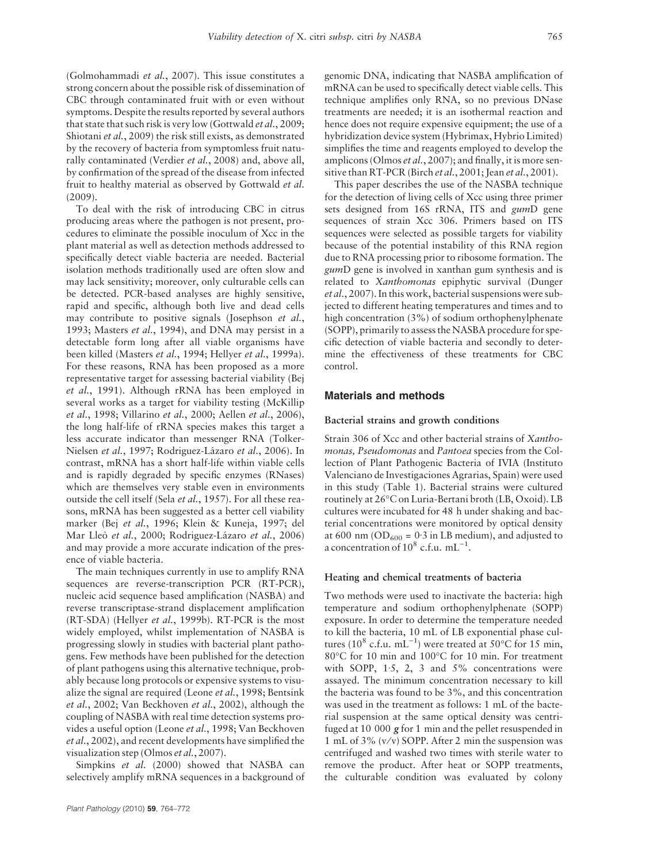(Golmohammadi et al., 2007). This issue constitutes a strong concern about the possible risk of dissemination of CBC through contaminated fruit with or even without symptoms. Despite the results reported by several authors that state that such risk is very low (Gottwald et al., 2009; Shiotani et al., 2009) the risk still exists, as demonstrated by the recovery of bacteria from symptomless fruit naturally contaminated (Verdier et al., 2008) and, above all, by confirmation of the spread of the disease from infected fruit to healthy material as observed by Gottwald et al. (2009).

To deal with the risk of introducing CBC in citrus producing areas where the pathogen is not present, procedures to eliminate the possible inoculum of Xcc in the plant material as well as detection methods addressed to specifically detect viable bacteria are needed. Bacterial isolation methods traditionally used are often slow and may lack sensitivity; moreover, only culturable cells can be detected. PCR-based analyses are highly sensitive, rapid and specific, although both live and dead cells may contribute to positive signals (Josephson et al., 1993; Masters et al., 1994), and DNA may persist in a detectable form long after all viable organisms have been killed (Masters et al., 1994; Hellyer et al., 1999a). For these reasons, RNA has been proposed as a more representative target for assessing bacterial viability (Bej et al., 1991). Although rRNA has been employed in several works as a target for viability testing (McKillip et al., 1998; Villarino et al., 2000; Aellen et al., 2006), the long half-life of rRNA species makes this target a less accurate indicator than messenger RNA (Tolker-Nielsen et al., 1997; Rodriguez-Lázaro et al., 2006). In contrast, mRNA has a short half-life within viable cells and is rapidly degraded by specific enzymes (RNases) which are themselves very stable even in environments outside the cell itself (Sela et al., 1957). For all these reasons, mRNA has been suggested as a better cell viability marker (Bej et al., 1996; Klein & Kuneja, 1997; del Mar Lleò et al., 2000; Rodriguez-Lázaro et al., 2006) and may provide a more accurate indication of the presence of viable bacteria.

The main techniques currently in use to amplify RNA sequences are reverse-transcription PCR (RT-PCR), nucleic acid sequence based amplification (NASBA) and reverse transcriptase-strand displacement amplification (RT-SDA) (Hellyer et al., 1999b). RT-PCR is the most widely employed, whilst implementation of NASBA is progressing slowly in studies with bacterial plant pathogens. Few methods have been published for the detection of plant pathogens using this alternative technique, probably because long protocols or expensive systems to visualize the signal are required (Leone et al., 1998; Bentsink et al., 2002; Van Beckhoven et al., 2002), although the coupling of NASBA with real time detection systems provides a useful option (Leone et al., 1998; Van Beckhoven et al., 2002), and recent developments have simplified the visualization step (Olmos et al., 2007).

Simpkins et al. (2000) showed that NASBA can selectively amplify mRNA sequences in a background of genomic DNA, indicating that NASBA amplification of mRNA can be used to specifically detect viable cells. This technique amplifies only RNA, so no previous DNase treatments are needed; it is an isothermal reaction and hence does not require expensive equipment; the use of a hybridization device system (Hybrimax, Hybrio Limited) simplifies the time and reagents employed to develop the amplicons (Olmos et al., 2007); and finally, it is more sensitive than RT-PCR (Birch et al., 2001; Jean et al., 2001).

This paper describes the use of the NASBA technique for the detection of living cells of Xcc using three primer sets designed from 16S rRNA, ITS and gumD gene sequences of strain Xcc 306. Primers based on ITS sequences were selected as possible targets for viability because of the potential instability of this RNA region due to RNA processing prior to ribosome formation. The gumD gene is involved in xanthan gum synthesis and is related to Xanthomonas epiphytic survival (Dunger et al., 2007). In this work, bacterial suspensions were subjected to different heating temperatures and times and to high concentration (3%) of sodium orthophenylphenate (SOPP), primarily to assess the NASBA procedure for specific detection of viable bacteria and secondly to determine the effectiveness of these treatments for CBC control.

## Materials and methods

## Bacterial strains and growth conditions

Strain 306 of Xcc and other bacterial strains of Xanthomonas, Pseudomonas and Pantoea species from the Collection of Plant Pathogenic Bacteria of IVIA (Instituto Valenciano de Investigaciones Agrarias, Spain) were used in this study (Table 1). Bacterial strains were cultured routinely at 26°C on Luria-Bertani broth (LB, Oxoid). LB cultures were incubated for 48 h under shaking and bacterial concentrations were monitored by optical density at 600 nm ( $OD_{600} = 0.3$  in LB medium), and adjusted to a concentration of  $10^8$  c.f.u. mL<sup>-1</sup>.

#### Heating and chemical treatments of bacteria

Two methods were used to inactivate the bacteria: high temperature and sodium orthophenylphenate (SOPP) exposure. In order to determine the temperature needed to kill the bacteria, 10 mL of LB exponential phase cultures (10<sup>8</sup> c.f.u. mL<sup>-1</sup>) were treated at 50°C for 15 min, 80°C for 10 min and 100°C for 10 min. For treatment with SOPP,  $1.5$ ,  $2$ ,  $3$  and  $5\%$  concentrations were assayed. The minimum concentration necessary to kill the bacteria was found to be 3%, and this concentration was used in the treatment as follows: 1 mL of the bacterial suspension at the same optical density was centrifuged at 10 000 g for 1 min and the pellet resuspended in 1 mL of 3%  $(v/v)$  SOPP. After 2 min the suspension was centrifuged and washed two times with sterile water to remove the product. After heat or SOPP treatments, the culturable condition was evaluated by colony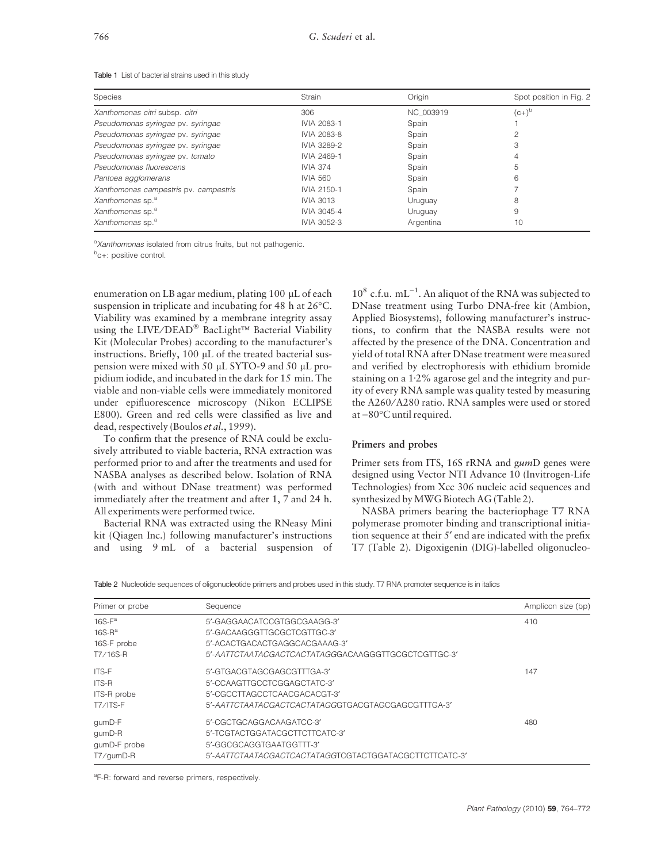| Species                               | Strain             | Origin    | Spot position in Fig. 2 |
|---------------------------------------|--------------------|-----------|-------------------------|
| Xanthomonas citri subsp. citri        | 306                | NC 003919 | $(C+)^b$                |
| Pseudomonas syringae pv. syringae     | <b>IVIA 2083-1</b> | Spain     |                         |
| Pseudomonas syringae pv. syringae     | IVIA 2083-8        | Spain     |                         |
| Pseudomonas syringae pv. syringae     | IVIA 3289-2        | Spain     | З                       |
| Pseudomonas syringae pv. tomato       | IVIA 2469-1        | Spain     | 4                       |
| Pseudomonas fluorescens               | <b>IVIA 374</b>    | Spain     | 5                       |
| Pantoea agglomerans                   | <b>IVIA 560</b>    | Spain     | 6                       |
| Xanthomonas campestris pv. campestris | IVIA 2150-1        | Spain     |                         |
| Xanthomonas sp. <sup>a</sup>          | <b>IVIA 3013</b>   | Uruguay   | 8                       |
| Xanthomonas sp. <sup>a</sup>          | IVIA 3045-4        | Uruguay   | 9                       |
| Xanthomonas sp. <sup>a</sup>          | IVIA 3052-3        | Argentina | 10                      |

Table 1 List of bacterial strains used in this study

aXanthomonas isolated from citrus fruits, but not pathogenic.

b<sub>c+</sub>: positive control.

enumeration on LB agar medium, plating 100 µL of each suspension in triplicate and incubating for 48 h at 26 $^{\circ}$ C. Viability was examined by a membrane integrity assay using the LIVE/DEAD<sup>®</sup> BacLight™ Bacterial Viability Kit (Molecular Probes) according to the manufacturer's instructions. Briefly, 100 µL of the treated bacterial suspension were mixed with 50 µL SYTO-9 and 50 µL propidium iodide, and incubated in the dark for 15 min. The viable and non-viable cells were immediately monitored under epifluorescence microscopy (Nikon ECLIPSE E800). Green and red cells were classified as live and dead, respectively (Boulos et al., 1999).

To confirm that the presence of RNA could be exclusively attributed to viable bacteria, RNA extraction was performed prior to and after the treatments and used for NASBA analyses as described below. Isolation of RNA (with and without DNase treatment) was performed immediately after the treatment and after 1, 7 and 24 h. All experiments were performed twice.

Bacterial RNA was extracted using the RNeasy Mini kit (Qiagen Inc.) following manufacturer's instructions and using 9 mL of a bacterial suspension of

 $10^8$  c.f.u. mL<sup>-1</sup>. An aliquot of the RNA was subjected to DNase treatment using Turbo DNA-free kit (Ambion, Applied Biosystems), following manufacturer's instructions, to confirm that the NASBA results were not affected by the presence of the DNA. Concentration and yield of total RNA after DNase treatment were measured and verified by electrophoresis with ethidium bromide staining on a  $1.2\%$  agarose gel and the integrity and purity of every RNA sample was quality tested by measuring the A260/A280 ratio. RNA samples were used or stored at –80°C until required.

#### Primers and probes

Primer sets from ITS, 16S rRNA and gumD genes were designed using Vector NTI Advance 10 (Invitrogen-Life Technologies) from Xcc 306 nucleic acid sequences and synthesized byMWG Biotech AG (Table 2).

NASBA primers bearing the bacteriophage T7 RNA polymerase promoter binding and transcriptional initiation sequence at their 5' end are indicated with the prefix T7 (Table 2). Digoxigenin (DIG)-labelled oligonucleo-

Table 2 Nucleotide sequences of oligonucleotide primers and probes used in this study. T7 RNA promoter sequence is in italics

| Primer or probe | Sequence                                               | Amplicon size (bp) |
|-----------------|--------------------------------------------------------|--------------------|
| $16S-F^a$       | 5'-GAGGAACATCCGTGGCGAAGG-3'                            | 410                |
| $16S-Ra$        | 5'-GACAAGGGTTGCGCTCGTTGC-3'                            |                    |
| 16S-F probe     | 5'-ACACTGACACTGAGGCACGAAAG-3'                          |                    |
| T7/16S-R        | 5'-AATTCTAATACGACTCACTATAGGGACAAGGGTTGCGCTCGTTGC-3'    |                    |
| <b>ITS-F</b>    | 5'-GTGACGTAGCGAGCGTTTGA-3'                             | 147                |
| <b>ITS-R</b>    | 5'-CCAAGTTGCCTCGGAGCTATC-3'                            |                    |
| ITS-R probe     | 5'-CGCCTTAGCCTCAACGACACGT-3'                           |                    |
| T7/ITS-F        | 5'-AATTCTAATACGACTCACTATAGGGTGACGTAGCGAGCGTTTGA-3'     |                    |
| gumD-F          | 5'-CGCTGCAGGACAAGATCC-3'                               | 480                |
| gumD-R          | 5'-TCGTACTGGATACGCTTCTTCATC-3'                         |                    |
| gumD-F probe    | 5'-GGCGCAGGTGAATGGTTT-3'                               |                    |
| T7/gumD-R       | 5'-AATTCTAATACGACTCACTATAGGTCGTACTGGATACGCTTCTTCATC-3' |                    |

<sup>a</sup>F-R: forward and reverse primers, respectively.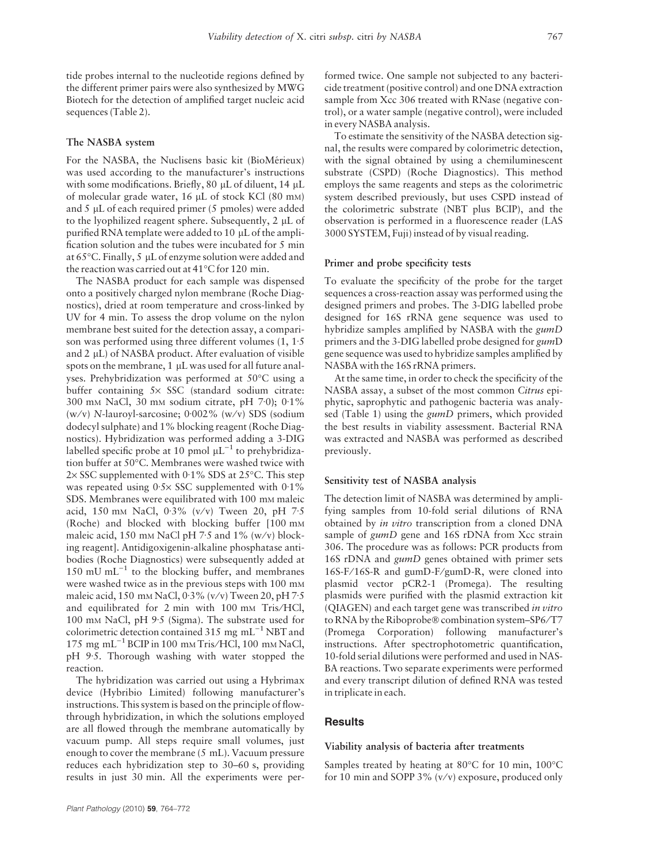tide probes internal to the nucleotide regions defined by the different primer pairs were also synthesized by MWG Biotech for the detection of amplified target nucleic acid sequences (Table 2).

### The NASBA system

For the NASBA, the Nuclisens basic kit (BioMérieux) was used according to the manufacturer's instructions with some modifications. Briefly, 80  $\mu$ L of diluent, 14  $\mu$ L of molecular grade water, 16 µL of stock KCl (80 mM) and 5 µL of each required primer (5 pmoles) were added to the lyophilized reagent sphere. Subsequently,  $2 \mu L$  of purified RNA template were added to 10 µL of the amplification solution and the tubes were incubated for 5 min at 65°C. Finally, 5 µL of enzyme solution were added and the reaction was carried out at  $41^{\circ}$ C for 120 min.

The NASBA product for each sample was dispensed onto a positively charged nylon membrane (Roche Diagnostics), dried at room temperature and cross-linked by UV for 4 min. To assess the drop volume on the nylon membrane best suited for the detection assay, a comparison was performed using three different volumes  $(1, 1.5)$ and  $2 \mu L$ ) of NASBA product. After evaluation of visible spots on the membrane, 1 µL was used for all future analyses. Prehybridization was performed at 50°C using a buffer containing  $5 \times$  SSC (standard sodium citrate: 300 mm NaCl, 30 mm sodium citrate, pH  $70$ ); 0 $1\%$ (w/v) N-lauroyl-sarcosine;  $0.002\%$  (w/v) SDS (sodium dodecyl sulphate) and 1% blocking reagent (Roche Diagnostics). Hybridization was performed adding a 3-DIG labelled specific probe at 10 pmol  $\mu L^{-1}$  to prehybridization buffer at 50°C. Membranes were washed twice with 2× SSC supplemented with 0·1% SDS at 25°C. This step was repeated using  $0.5 \times$  SSC supplemented with  $0.1\%$ SDS. Membranes were equilibrated with 100 mm maleic acid, 150 mm NaCl, 0.3% (v/v) Tween 20, pH 7.5 (Roche) and blocked with blocking buffer [100 mM maleic acid, 150 mm NaCl pH 7.5 and  $1\%$  (w/v) blocking reagent]. Antidigoxigenin-alkaline phosphatase antibodies (Roche Diagnostics) were subsequently added at 150 mU  $mL^{-1}$  to the blocking buffer, and membranes were washed twice as in the previous steps with 100 mM maleic acid, 150 mm NaCl,  $0.3\%$  (v/v) Tween 20, pH 7.5 and equilibrated for 2 min with 100 mm Tris/HCl, 100 mm NaCl, pH 9.5 (Sigma). The substrate used for colorimetric detection contained 315 mg  $\rm mL^{-1}\,NBT$  and 175 mg mL $^{-1}$  BCIP in 100 mm Tris/HCl, 100 mm NaCl, pH 9.5. Thorough washing with water stopped the reaction.

The hybridization was carried out using a Hybrimax device (Hybribio Limited) following manufacturer's instructions. This system is based on the principle of flowthrough hybridization, in which the solutions employed are all flowed through the membrane automatically by vacuum pump. All steps require small volumes, just enough to cover the membrane (5 mL). Vacuum pressure reduces each hybridization step to 30–60 s, providing results in just 30 min. All the experiments were performed twice. One sample not subjected to any bactericide treatment (positive control) and one DNA extraction sample from Xcc 306 treated with RNase (negative control), or a water sample (negative control), were included in every NASBA analysis.

To estimate the sensitivity of the NASBA detection signal, the results were compared by colorimetric detection, with the signal obtained by using a chemiluminescent substrate (CSPD) (Roche Diagnostics). This method employs the same reagents and steps as the colorimetric system described previously, but uses CSPD instead of the colorimetric substrate (NBT plus BCIP), and the observation is performed in a fluorescence reader (LAS 3000 SYSTEM, Fuji) instead of by visual reading.

#### Primer and probe specificity tests

To evaluate the specificity of the probe for the target sequences a cross-reaction assay was performed using the designed primers and probes. The 3-DIG labelled probe designed for 16S rRNA gene sequence was used to hybridize samples amplified by NASBA with the gumD primers and the 3-DIG labelled probe designed for gumD gene sequence was used to hybridize samples amplified by NASBA with the 16S rRNA primers.

At the same time, in order to check the specificity of the NASBA assay, a subset of the most common Citrus epiphytic, saprophytic and pathogenic bacteria was analysed (Table 1) using the *gumD* primers, which provided the best results in viability assessment. Bacterial RNA was extracted and NASBA was performed as described previously.

## Sensitivity test of NASBA analysis

The detection limit of NASBA was determined by amplifying samples from 10-fold serial dilutions of RNA obtained by in vitro transcription from a cloned DNA sample of *gumD* gene and 16S rDNA from Xcc strain 306. The procedure was as follows: PCR products from 16S rDNA and gumD genes obtained with primer sets 16S-F/16S-R and gumD-F/gumD-R, were cloned into plasmid vector pCR2-1 (Promega). The resulting plasmids were purified with the plasmid extraction kit (QIAGEN) and each target gene was transcribed in vitro to RNA by the Riboprobe® combination system–SP6/T7 (Promega Corporation) following manufacturer's instructions. After spectrophotometric quantification, 10-fold serial dilutions were performed and used in NAS-BA reactions. Two separate experiments were performed and every transcript dilution of defined RNA was tested in triplicate in each.

# **Results**

#### Viability analysis of bacteria after treatments

Samples treated by heating at  $80^{\circ}$ C for 10 min, 100 $^{\circ}$ C for 10 min and SOPP  $3\%$  (v/v) exposure, produced only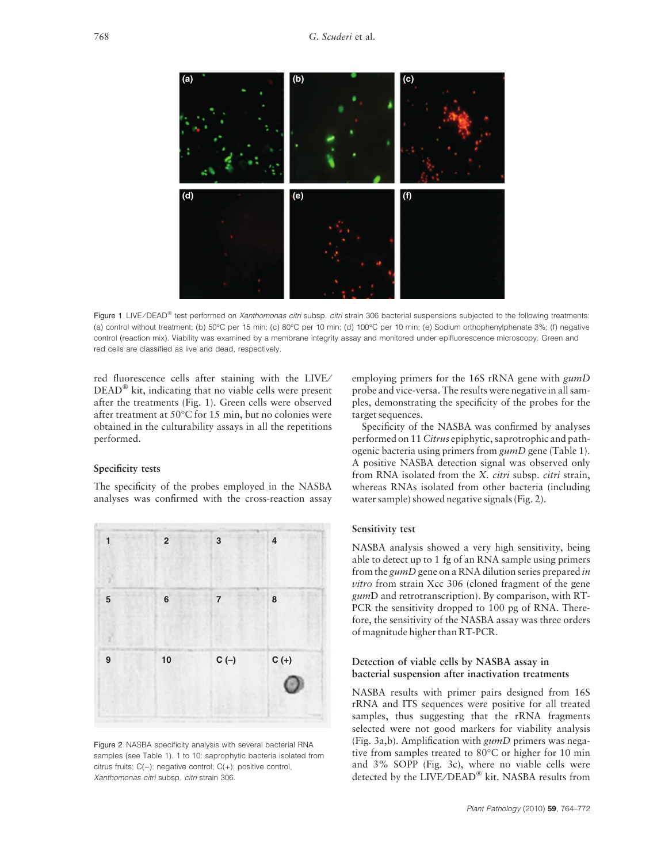

Figure 1 LIVE/DEAD® test performed on Xanthomonas citri subsp. citri strain 306 bacterial suspensions subjected to the following treatments: (a) control without treatment; (b) 50°C per 15 min; (c) 80°C per 10 min; (d) 100°C per 10 min; (e) Sodium orthophenylphenate 3%; (f) negative control (reaction mix). Viability was examined by a membrane integrity assay and monitored under epifluorescence microscopy. Green and red cells are classified as live and dead, respectively.

red fluorescence cells after staining with the LIVE/  $DEAD<sup>®</sup>$  kit, indicating that no viable cells were present after the treatments (Fig. 1). Green cells were observed after treatment at 50°C for 15 min, but no colonies were obtained in the culturability assays in all the repetitions performed.

#### Specificity tests

The specificity of the probes employed in the NASBA analyses was confirmed with the cross-reaction assay



Figure 2 NASBA specificity analysis with several bacterial RNA samples (see Table 1). 1 to 10: saprophytic bacteria isolated from citrus fruits; C(-): negative control; C(+): positive control, Xanthomonas citri subsp. citri strain 306.

employing primers for the 16S rRNA gene with gumD probe and vice-versa. The results were negative in all samples, demonstrating the specificity of the probes for the target sequences.

Specificity of the NASBA was confirmed by analyses performed on 11 Citrus epiphytic, saprotrophic and pathogenic bacteria using primers from gumD gene (Table 1). A positive NASBA detection signal was observed only from RNA isolated from the X. citri subsp. citri strain, whereas RNAs isolated from other bacteria (including water sample) showed negative signals (Fig. 2).

## Sensitivity test

NASBA analysis showed a very high sensitivity, being able to detect up to 1 fg of an RNA sample using primers from the gumD gene on a RNA dilution series prepared in vitro from strain Xcc 306 (cloned fragment of the gene gumD and retrotranscription). By comparison, with RT-PCR the sensitivity dropped to 100 pg of RNA. Therefore, the sensitivity of the NASBA assay was three orders of magnitude higher than RT-PCR.

## Detection of viable cells by NASBA assay in bacterial suspension after inactivation treatments

NASBA results with primer pairs designed from 16S rRNA and ITS sequences were positive for all treated samples, thus suggesting that the rRNA fragments selected were not good markers for viability analysis (Fig. 3a,b). Amplification with gumD primers was negative from samples treated to  $80^{\circ}$ C or higher for 10 min and 3% SOPP (Fig. 3c), where no viable cells were detected by the LIVE/DEAD® kit. NASBA results from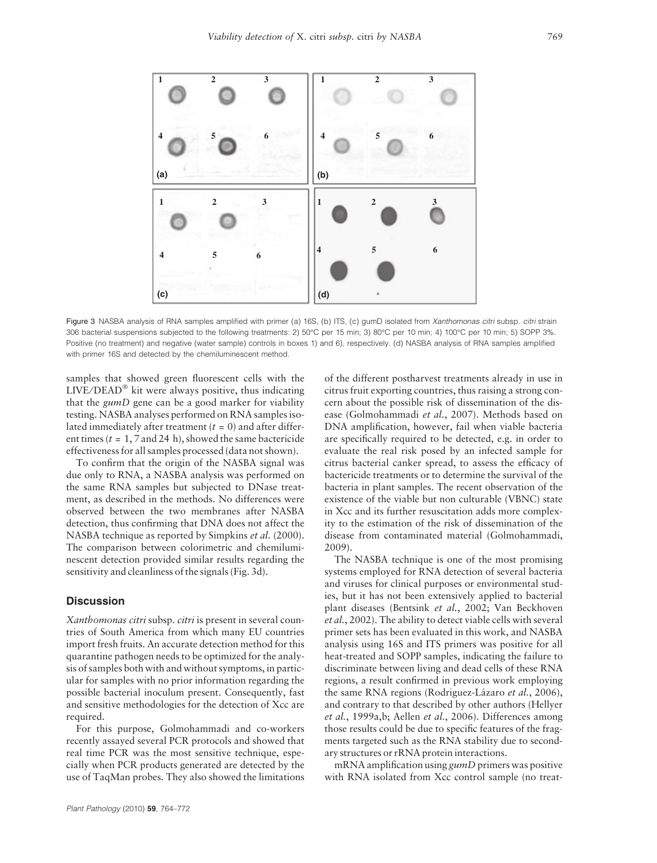

Figure 3 NASBA analysis of RNA samples amplified with primer (a) 16S, (b) ITS, (c) gumD isolated from Xanthomonas citri subsp. citri strain 306 bacterial suspensions subjected to the following treatments: 2) 50°C per 15 min; 3) 80°C per 10 min; 4) 100°C per 10 min; 5) SOPP 3%. Positive (no treatment) and negative (water sample) controls in boxes 1) and 6), respectively. (d) NASBA analysis of RNA samples amplified with primer 16S and detected by the chemiluminescent method.

samples that showed green fluorescent cells with the  $LIVE/DEAD<sup>®</sup>$  kit were always positive, thus indicating that the gumD gene can be a good marker for viability testing. NASBA analyses performed on RNA samples isolated immediately after treatment  $(t = 0)$  and after different times ( $t = 1, 7$  and 24 h), showed the same bactericide effectiveness for all samples processed (data not shown).

To confirm that the origin of the NASBA signal was due only to RNA, a NASBA analysis was performed on the same RNA samples but subjected to DNase treatment, as described in the methods. No differences were observed between the two membranes after NASBA detection, thus confirming that DNA does not affect the NASBA technique as reported by Simpkins et al. (2000). The comparison between colorimetric and chemiluminescent detection provided similar results regarding the sensitivity and cleanliness of the signals (Fig. 3d).

# **Discussion**

Xanthomonas citri subsp. citri is present in several countries of South America from which many EU countries import fresh fruits. An accurate detection method for this quarantine pathogen needs to be optimized for the analysis of samples both with and without symptoms, in particular for samples with no prior information regarding the possible bacterial inoculum present. Consequently, fast and sensitive methodologies for the detection of Xcc are required.

For this purpose, Golmohammadi and co-workers recently assayed several PCR protocols and showed that real time PCR was the most sensitive technique, especially when PCR products generated are detected by the use of TaqMan probes. They also showed the limitations of the different postharvest treatments already in use in citrus fruit exporting countries, thus raising a strong concern about the possible risk of dissemination of the disease (Golmohammadi et al., 2007). Methods based on DNA amplification, however, fail when viable bacteria are specifically required to be detected, e.g. in order to evaluate the real risk posed by an infected sample for citrus bacterial canker spread, to assess the efficacy of bactericide treatments or to determine the survival of the bacteria in plant samples. The recent observation of the existence of the viable but non culturable (VBNC) state in Xcc and its further resuscitation adds more complexity to the estimation of the risk of dissemination of the disease from contaminated material (Golmohammadi, 2009).

The NASBA technique is one of the most promising systems employed for RNA detection of several bacteria and viruses for clinical purposes or environmental studies, but it has not been extensively applied to bacterial plant diseases (Bentsink et al., 2002; Van Beckhoven et al., 2002). The ability to detect viable cells with several primer sets has been evaluated in this work, and NASBA analysis using 16S and ITS primers was positive for all heat-treated and SOPP samples, indicating the failure to discriminate between living and dead cells of these RNA regions, a result confirmed in previous work employing the same RNA regions (Rodriguez-Lázaro et al., 2006), and contrary to that described by other authors (Hellyer et al., 1999a,b; Aellen et al., 2006). Differences among those results could be due to specific features of the fragments targeted such as the RNA stability due to secondary structures or rRNA protein interactions.

mRNA amplification using gumD primers was positive with RNA isolated from Xcc control sample (no treat-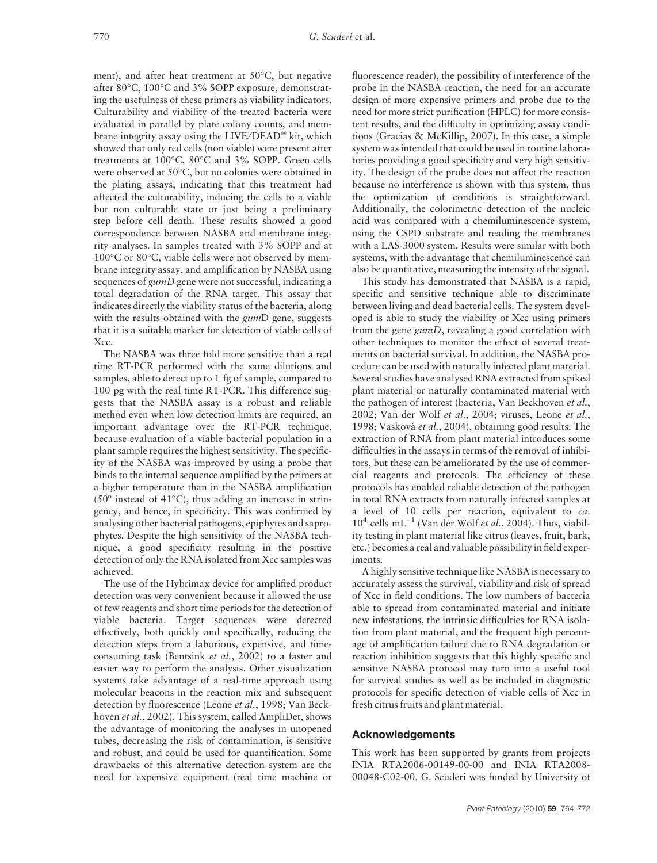ment), and after heat treatment at  $50^{\circ}$ C, but negative after 80°C, 100°C and 3% SOPP exposure, demonstrating the usefulness of these primers as viability indicators. Culturability and viability of the treated bacteria were evaluated in parallel by plate colony counts, and membrane integrity assay using the  $LIVE/DEAD^@$  kit, which showed that only red cells (non viable) were present after treatments at 100°C, 80°C and 3% SOPP. Green cells were observed at 50°C, but no colonies were obtained in the plating assays, indicating that this treatment had affected the culturability, inducing the cells to a viable but non culturable state or just being a preliminary step before cell death. These results showed a good correspondence between NASBA and membrane integrity analyses. In samples treated with 3% SOPP and at 100 °C or 80 °C, viable cells were not observed by membrane integrity assay, and amplification by NASBA using sequences of *gumD* gene were not successful, indicating a total degradation of the RNA target. This assay that indicates directly the viability status of the bacteria, along with the results obtained with the *gumD* gene, suggests that it is a suitable marker for detection of viable cells of Xcc.

The NASBA was three fold more sensitive than a real time RT-PCR performed with the same dilutions and samples, able to detect up to 1 fg of sample, compared to 100 pg with the real time RT-PCR. This difference suggests that the NASBA assay is a robust and reliable method even when low detection limits are required, an important advantage over the RT-PCR technique, because evaluation of a viable bacterial population in a plant sample requires the highest sensitivity. The specificity of the NASBA was improved by using a probe that binds to the internal sequence amplified by the primers at a higher temperature than in the NASBA amplification  $(50^{\circ}$  instead of 41 $^{\circ}$ C), thus adding an increase in stringency, and hence, in specificity. This was confirmed by analysing other bacterial pathogens, epiphytes and saprophytes. Despite the high sensitivity of the NASBA technique, a good specificity resulting in the positive detection of only the RNA isolated from Xcc samples was achieved.

The use of the Hybrimax device for amplified product detection was very convenient because it allowed the use of few reagents and short time periods for the detection of viable bacteria. Target sequences were detected effectively, both quickly and specifically, reducing the detection steps from a laborious, expensive, and timeconsuming task (Bentsink et al., 2002) to a faster and easier way to perform the analysis. Other visualization systems take advantage of a real-time approach using molecular beacons in the reaction mix and subsequent detection by fluorescence (Leone et al., 1998; Van Beckhoven et al., 2002). This system, called AmpliDet, shows the advantage of monitoring the analyses in unopened tubes, decreasing the risk of contamination, is sensitive and robust, and could be used for quantification. Some drawbacks of this alternative detection system are the need for expensive equipment (real time machine or

fluorescence reader), the possibility of interference of the probe in the NASBA reaction, the need for an accurate design of more expensive primers and probe due to the need for more strict purification (HPLC) for more consistent results, and the difficulty in optimizing assay conditions (Gracias & McKillip, 2007). In this case, a simple system was intended that could be used in routine laboratories providing a good specificity and very high sensitivity. The design of the probe does not affect the reaction because no interference is shown with this system, thus the optimization of conditions is straightforward. Additionally, the colorimetric detection of the nucleic acid was compared with a chemiluminescence system, using the CSPD substrate and reading the membranes with a LAS-3000 system. Results were similar with both systems, with the advantage that chemiluminescence can also be quantitative, measuring the intensity of the signal.

This study has demonstrated that NASBA is a rapid, specific and sensitive technique able to discriminate between living and dead bacterial cells. The system developed is able to study the viability of Xcc using primers from the gene gumD, revealing a good correlation with other techniques to monitor the effect of several treatments on bacterial survival. In addition, the NASBA procedure can be used with naturally infected plant material. Several studies have analysed RNA extracted from spiked plant material or naturally contaminated material with the pathogen of interest (bacteria, Van Beckhoven et al., 2002; Van der Wolf et al., 2004; viruses, Leone et al., 1998; Vasková et al., 2004), obtaining good results. The extraction of RNA from plant material introduces some difficulties in the assays in terms of the removal of inhibitors, but these can be ameliorated by the use of commercial reagents and protocols. The efficiency of these protocols has enabled reliable detection of the pathogen in total RNA extracts from naturally infected samples at a level of 10 cells per reaction, equivalent to ca.  $10^4$  cells mL<sup>-1</sup> (Van der Wolf *et al.*, 2004). Thus, viability testing in plant material like citrus (leaves, fruit, bark, etc.) becomes a real and valuable possibility in field experiments.

A highly sensitive technique like NASBA is necessary to accurately assess the survival, viability and risk of spread of Xcc in field conditions. The low numbers of bacteria able to spread from contaminated material and initiate new infestations, the intrinsic difficulties for RNA isolation from plant material, and the frequent high percentage of amplification failure due to RNA degradation or reaction inhibition suggests that this highly specific and sensitive NASBA protocol may turn into a useful tool for survival studies as well as be included in diagnostic protocols for specific detection of viable cells of Xcc in fresh citrus fruits and plant material.

# Acknowledgements

This work has been supported by grants from projects INIA RTA2006-00149-00-00 and INIA RTA2008- 00048-C02-00. G. Scuderi was funded by University of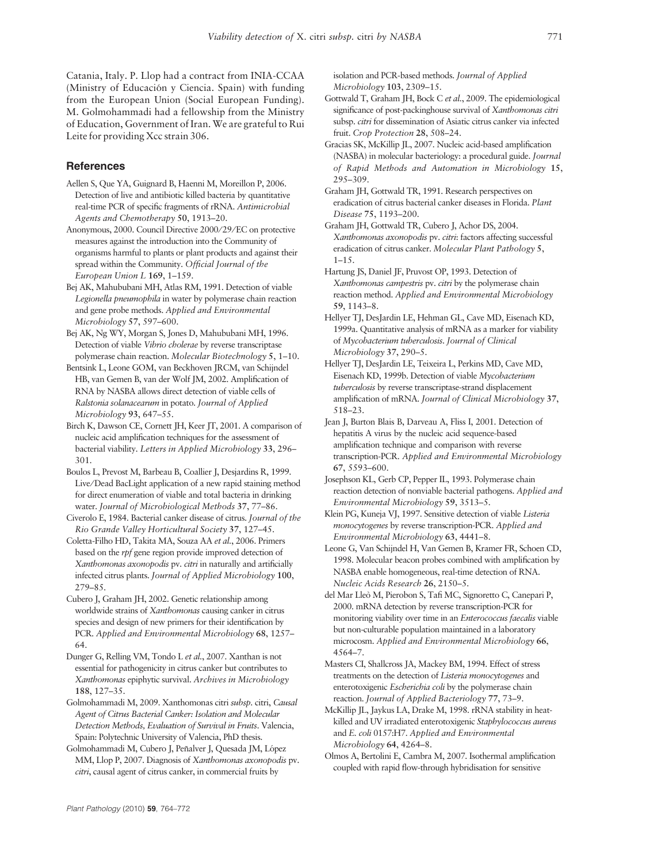Catania, Italy. P. Llop had a contract from INIA-CCAA (Ministry of Educación y Ciencia. Spain) with funding from the European Union (Social European Funding). M. Golmohammadi had a fellowship from the Ministry of Education, Government of Iran. We are grateful to Rui Leite for providing Xcc strain 306.

# **References**

Aellen S, Que YA, Guignard B, Haenni M, Moreillon P, 2006. Detection of live and antibiotic killed bacteria by quantitative real-time PCR of specific fragments of rRNA. Antimicrobial Agents and Chemotherapy 50, 1913–20.

Anonymous, 2000. Council Directive 2000/29/EC on protective measures against the introduction into the Community of organisms harmful to plants or plant products and against their spread within the Community. Official Journal of the European Union L 169, 1–159.

Bej AK, Mahububani MH, Atlas RM, 1991. Detection of viable Legionella pneumophila in water by polymerase chain reaction and gene probe methods. Applied and Environmental Microbiology 57, 597–600.

Bej AK, Ng WY, Morgan S, Jones D, Mahububani MH, 1996. Detection of viable Vibrio cholerae by reverse transcriptase polymerase chain reaction. Molecular Biotechnology 5, 1–10.

Bentsink L, Leone GOM, van Beckhoven JRCM, van Schijndel HB, van Gemen B, van der Wolf JM, 2002. Amplification of RNA by NASBA allows direct detection of viable cells of Ralstonia solanacearum in potato. Journal of Applied Microbiology 93, 647–55.

Birch K, Dawson CE, Cornett JH, Keer JT, 2001. A comparison of nucleic acid amplification techniques for the assessment of bacterial viability. Letters in Applied Microbiology 33, 296– 301.

Boulos L, Prevost M, Barbeau B, Coallier J, Desjardins R, 1999. Live ⁄Dead BacLight application of a new rapid staining method for direct enumeration of viable and total bacteria in drinking water. Journal of Microbiological Methods 37, 77–86.

Civerolo E, 1984. Bacterial canker disease of citrus. Journal of the Rio Grande Valley Horticultural Society 37, 127–45.

Coletta-Filho HD, Takita MA, Souza AA et al., 2006. Primers based on the rpf gene region provide improved detection of Xanthomonas axonopodis pv. citri in naturally and artificially infected citrus plants. Journal of Applied Microbiology 100, 279–85.

Cubero J, Graham JH, 2002. Genetic relationship among worldwide strains of Xanthomonas causing canker in citrus species and design of new primers for their identification by PCR. Applied and Environmental Microbiology 68, 1257– 64.

Dunger G, Relling VM, Tondo L et al., 2007. Xanthan is not essential for pathogenicity in citrus canker but contributes to Xanthomonas epiphytic survival. Archives in Microbiology 188, 127–35.

Golmohammadi M, 2009. Xanthomonas citri subsp. citri, Causal Agent of Citrus Bacterial Canker: Isolation and Molecular Detection Methods, Evaluation of Survival in Fruits. Valencia, Spain: Polytechnic University of Valencia, PhD thesis.

Golmohammadi M, Cubero J, Peñalver J, Quesada JM, López MM, Llop P, 2007. Diagnosis of Xanthomonas axonopodis pv. citri, causal agent of citrus canker, in commercial fruits by

isolation and PCR-based methods. Journal of Applied Microbiology 103, 2309–15.

- Gottwald T, Graham JH, Bock C et al., 2009. The epidemiological significance of post-packinghouse survival of Xanthomonas citri subsp. *citri* for dissemination of Asiatic citrus canker via infected fruit. Crop Protection 28, 508–24.
- Gracias SK, McKillip JL, 2007. Nucleic acid-based amplification (NASBA) in molecular bacteriology: a procedural guide. Journal of Rapid Methods and Automation in Microbiology 15, 295–309.

Graham JH, Gottwald TR, 1991. Research perspectives on eradication of citrus bacterial canker diseases in Florida. Plant Disease 75, 1193–200.

Graham JH, Gottwald TR, Cubero J, Achor DS, 2004. Xanthomonas axonopodis pv. citri: factors affecting successful eradication of citrus canker. Molecular Plant Pathology 5,  $1 - 15$ 

Hartung JS, Daniel JF, Pruvost OP, 1993. Detection of Xanthomonas campestris pv. citri by the polymerase chain reaction method. Applied and Environmental Microbiology 59, 1143–8.

Hellyer TJ, DesJardin LE, Hehman GL, Cave MD, Eisenach KD, 1999a. Quantitative analysis of mRNA as a marker for viability of Mycobacterium tuberculosis. Journal of Clinical Microbiology 37, 290–5.

Hellyer TJ, DesJardin LE, Teixeira L, Perkins MD, Cave MD, Eisenach KD, 1999b. Detection of viable Mycobacterium tuberculosis by reverse transcriptase-strand displacement amplification of mRNA. Journal of Clinical Microbiology 37, 518–23.

Jean J, Burton Blais B, Darveau A, Fliss I, 2001. Detection of hepatitis A virus by the nucleic acid sequence-based amplification technique and comparison with reverse transcription-PCR. Applied and Environmental Microbiology 67, 5593–600.

Josephson KL, Gerb CP, Pepper IL, 1993. Polymerase chain reaction detection of nonviable bacterial pathogens. Applied and Environmental Microbiology 59, 3513–5.

Klein PG, Kuneja VJ, 1997. Sensitive detection of viable Listeria monocytogenes by reverse transcription-PCR. Applied and Environmental Microbiology 63, 4441–8.

Leone G, Van Schijndel H, Van Gemen B, Kramer FR, Schoen CD, 1998. Molecular beacon probes combined with amplification by NASBA enable homogeneous, real-time detection of RNA. Nucleic Acids Research 26, 2150–5.

del Mar Lleo` M, Pierobon S, Tafi MC, Signoretto C, Canepari P, 2000. mRNA detection by reverse transcription-PCR for monitoring viability over time in an Enterococcus faecalis viable but non-culturable population maintained in a laboratory microcosm. Applied and Environmental Microbiology 66, 4564–7.

Masters CI, Shallcross JA, Mackey BM, 1994. Effect of stress treatments on the detection of Listeria monocytogenes and enterotoxigenic Escherichia coli by the polymerase chain reaction. Journal of Applied Bacteriology 77, 73–9.

McKillip JL, Jaykus LA, Drake M, 1998. rRNA stability in heatkilled and UV irradiated enterotoxigenic Staphylococcus aureus and E. coli 0157:H7. Applied and Environmental Microbiology 64, 4264–8.

Olmos A, Bertolini E, Cambra M, 2007. Isothermal amplification coupled with rapid flow-through hybridisation for sensitive